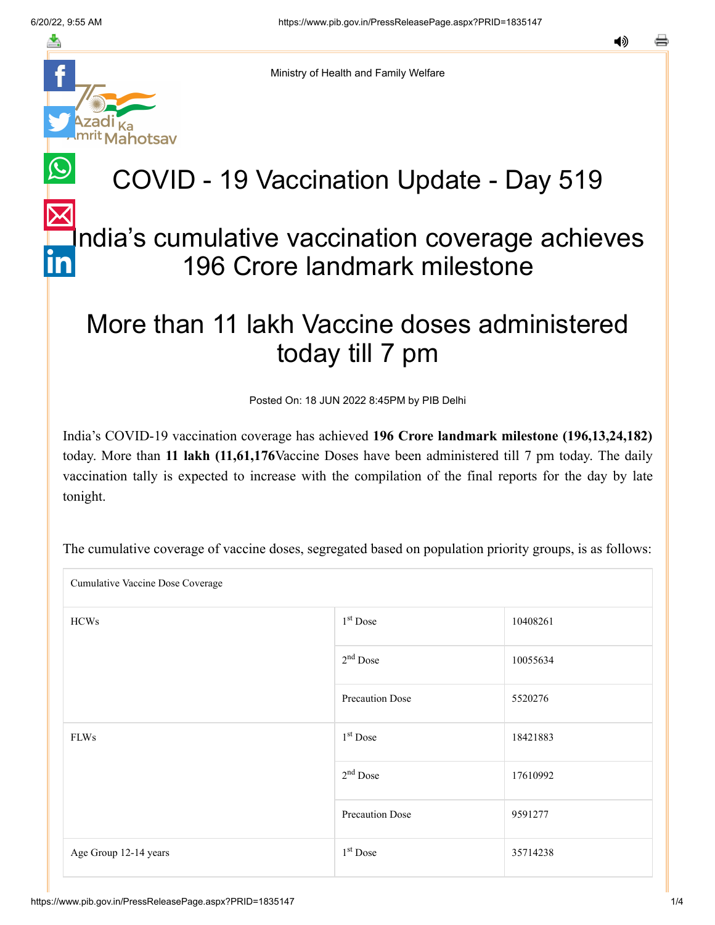ahotsav

≛

Ministry of Health and Family Welfare

## COVID - 19 Vaccination Update - Day 519

## ndia's cumulative vaccination coverage achieves 196 Crore landmark milestone

## More than 11 lakh Vaccine doses administered today till 7 pm

Posted On: 18 JUN 2022 8:45PM by PIB Delhi

India's COVID-19 vaccination coverage has achieved **196 Crore landmark milestone (196,13,24,182)** today. More than **11 lakh (11,61,176**Vaccine Doses have been administered till 7 pm today. The daily vaccination tally is expected to increase with the compilation of the final reports for the day by late tonight.

Cumulative Vaccine Dose Coverage  $HCWs$  10408261 10055634 Precaution Dose 5520276 FLWs  $18421883$ 17610992 Precaution Dose 9591277 Age Group 12-14 years 1  $1<sup>st</sup>$  Dose 35714238 1<sup>st</sup> Dose  $2<sup>nd</sup>$  Dose 1<sup>st</sup> Dose  $2<sup>nd</sup>$  Dose 1<sup>st</sup> Dose

The cumulative coverage of vaccine doses, segregated based on population priority groups, is as follows: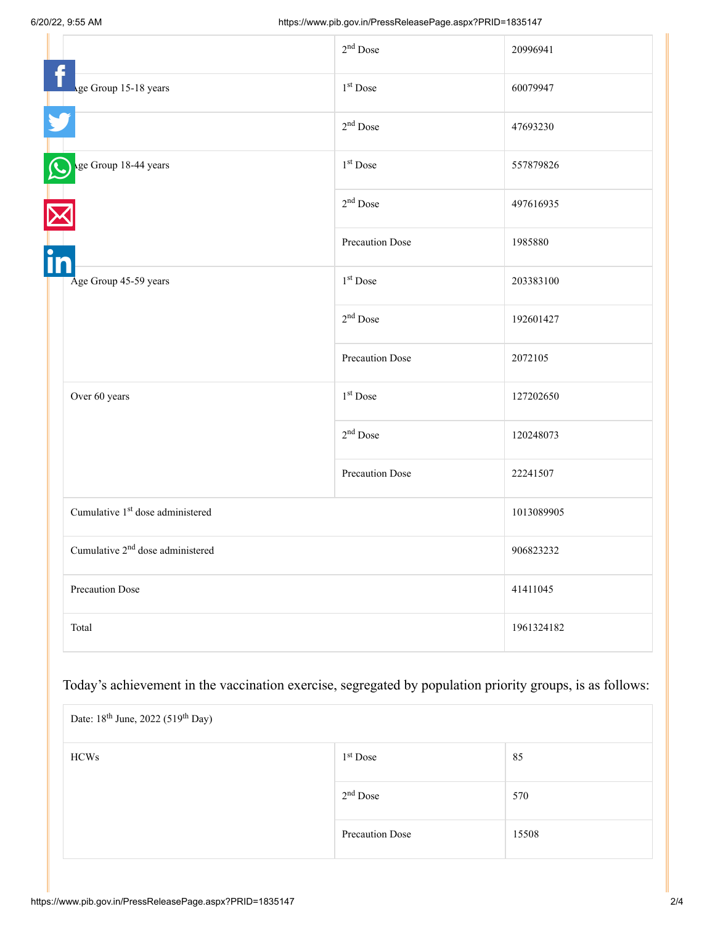|                                              | $2nd$ Dose      | 20996941   |
|----------------------------------------------|-----------------|------------|
| Age Group 15-18 years                        | $1st$ Dose      | 60079947   |
|                                              | $2nd$ Dose      | 47693230   |
| ge Group 18-44 years                         | $1st$ Dose      | 557879826  |
|                                              | $2nd$ Dose      | 497616935  |
| in                                           | Precaution Dose | 1985880    |
| Age Group 45-59 years                        | $1st$ Dose      | 203383100  |
|                                              | $2nd$ Dose      | 192601427  |
|                                              | Precaution Dose | 2072105    |
| Over 60 years                                | $1st$ Dose      | 127202650  |
|                                              | $2nd$ Dose      | 120248073  |
|                                              | Precaution Dose | 22241507   |
| Cumulative 1 <sup>st</sup> dose administered |                 | 1013089905 |
| Cumulative $2nd$ dose administered           |                 | 906823232  |
| Precaution Dose                              |                 | 41411045   |
| Total                                        |                 | 1961324182 |

Today's achievement in the vaccination exercise, segregated by population priority groups, is as follows:

| Date: 18 <sup>th</sup> June, 2022 (519 <sup>th</sup> Day) |                      |       |  |
|-----------------------------------------------------------|----------------------|-------|--|
| <b>HCWs</b>                                               | 1 <sup>st</sup> Dose | 85    |  |
|                                                           | 2 <sup>nd</sup> Dose | 570   |  |
|                                                           | Precaution Dose      | 15508 |  |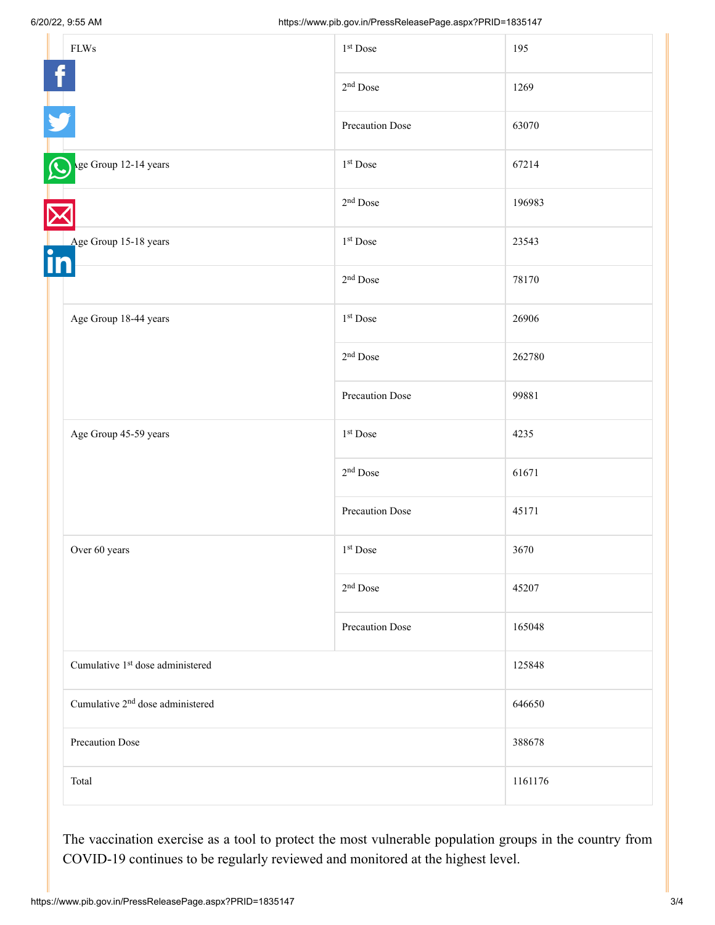|                 | ${\rm FLWs}$                                 | 1 <sup>st</sup> Dose | 195     |
|-----------------|----------------------------------------------|----------------------|---------|
|                 |                                              | 2 <sup>nd</sup> Dose | 1269    |
|                 |                                              | Precaution Dose      | 63070   |
|                 | ge Group 12-14 years                         | 1 <sup>st</sup> Dose | 67214   |
|                 |                                              | $2nd$ Dose           | 196983  |
| $\bullet$<br>in | Age Group 15-18 years                        | 1 <sup>st</sup> Dose | 23543   |
|                 |                                              | 2 <sup>nd</sup> Dose | 78170   |
|                 | Age Group 18-44 years                        | 1 <sup>st</sup> Dose | 26906   |
|                 |                                              | 2 <sup>nd</sup> Dose | 262780  |
|                 |                                              | Precaution Dose      | 99881   |
|                 | Age Group 45-59 years                        | 1 <sup>st</sup> Dose | 4235    |
|                 |                                              | 2 <sup>nd</sup> Dose | 61671   |
|                 |                                              | Precaution Dose      | 45171   |
|                 | Over 60 years                                | 1 <sup>st</sup> Dose | 3670    |
|                 |                                              | 2 <sup>nd</sup> Dose | 45207   |
|                 |                                              | Precaution Dose      | 165048  |
|                 | Cumulative 1 <sup>st</sup> dose administered |                      | 125848  |
|                 | Cumulative 2 <sup>nd</sup> dose administered |                      | 646650  |
|                 | Precaution Dose<br>Total                     |                      | 388678  |
|                 |                                              |                      | 1161176 |

The vaccination exercise as a tool to protect the most vulnerable population groups in the country from COVID-19 continues to be regularly reviewed and monitored at the highest level.